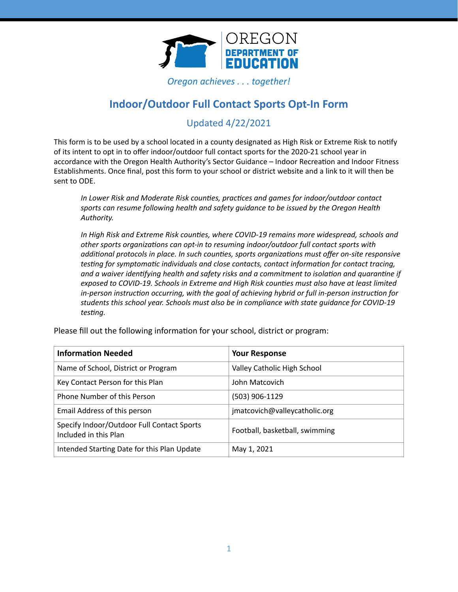

*Oregon achieves . . . together!*

# **Indoor/Outdoor Full Contact Sports Opt-In Form**

## Updated 4/22/2021

This form is to be used by a school located in a county designated as High Risk or Extreme Risk to notify of its intent to opt in to offer indoor/outdoor full contact sports for the 2020-21 school year in accordance with the Oregon Health Authority's Sector Guidance – Indoor Recreation and Indoor Fitness Establishments. Once final, post this form to your school or district website and a link to it will then be sent to ODE.

*In Lower Risk and Moderate Risk counties, practices and games for indoor/outdoor contact sports can resume following health and safety guidance to be issued by the Oregon Health Authority.* 

*In High Risk and Extreme Risk counties, where COVID-19 remains more widespread, schools and* other sports organizations can opt-in to resuming indoor/outdoor full contact sports with additional protocols in place. In such counties, sports organizations must offer on-site responsive *testing for symptomatic individuals and close contacts, contact information for contact tracing,* and a waiver identifying health and safety risks and a commitment to isolation and quarantine if exposed to COVID-19. Schools in Extreme and High Risk counties must also have at least limited *in-person instruction occurring, with the goal of achieving hybrid or full in-person instruction for students this school year. Schools must also be in compliance with state guidance for COVID-19*   $testing.$ 

| <b>Information Needed</b>                                           | <b>Your Response</b>           |
|---------------------------------------------------------------------|--------------------------------|
| Name of School, District or Program                                 | Valley Catholic High School    |
| Key Contact Person for this Plan                                    | John Matcovich                 |
| Phone Number of this Person                                         | (503) 906-1129                 |
| Email Address of this person                                        | jmatcovich@valleycatholic.org  |
| Specify Indoor/Outdoor Full Contact Sports<br>Included in this Plan | Football, basketball, swimming |
| Intended Starting Date for this Plan Update                         | May 1, 2021                    |

Please fill out the following information for your school, district or program: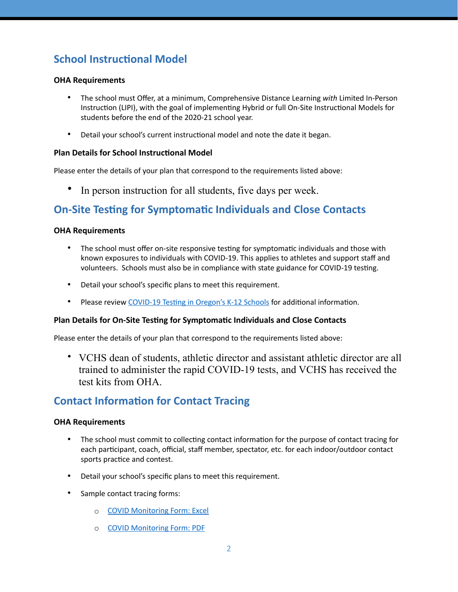# **School Instructional Model**

### **OHA Requirements**

- The school must Offer, at a minimum, Comprehensive Distance Learning *with* Limited In-Person Instruction (LIPI), with the goal of implementing Hybrid or full On-Site Instructional Models for students before the end of the 2020-21 school year.
- Detail your school's current instructional model and note the date it began.

#### **Plan Details for School Instructional Model**

Please enter the details of your plan that correspond to the requirements listed above:

• In person instruction for all students, five days per week.

## **On-Site Testing for Symptomatic Individuals and Close Contacts**

#### **OHA Requirements**

- The school must offer on-site responsive testing for symptomatic individuals and those with known exposures to individuals with COVID-19. This applies to athletes and support staff and volunteers. Schools must also be in compliance with state guidance for COVID-19 testing.
- Detail your school's specific plans to meet this requirement.
- Please review COVID-19 Testing in Oregon's K-12 Schools for additional information.

#### **Plan Details for On-Site Testing for Symptomatic Individuals and Close Contacts**

Please enter the details of your plan that correspond to the requirements listed above:

• VCHS dean of students, athletic director and assistant athletic director are all trained to administer the rapid COVID-19 tests, and VCHS has received the test kits from OHA.

## **Contact Information for Contact Tracing**

#### **OHA Requirements**

- The school must commit to collecting contact information for the purpose of contact tracing for each participant, coach, official, staff member, spectator, etc. for each indoor/outdoor contact sports practice and contest.
- Detail your school's specific plans to meet this requirement.
- Sample contact tracing forms:
	- o [COVID Monitoring Form: Excel](https://www.osaa.org/docs/osaainfo/COVID-19%2520Monitoring%2520Form.xlsx)
	- o [COVID Monitoring Form: PDF](https://www.osaa.org/docs/osaainfo/COVID-19%2520Monitoring%2520Form.pdf)